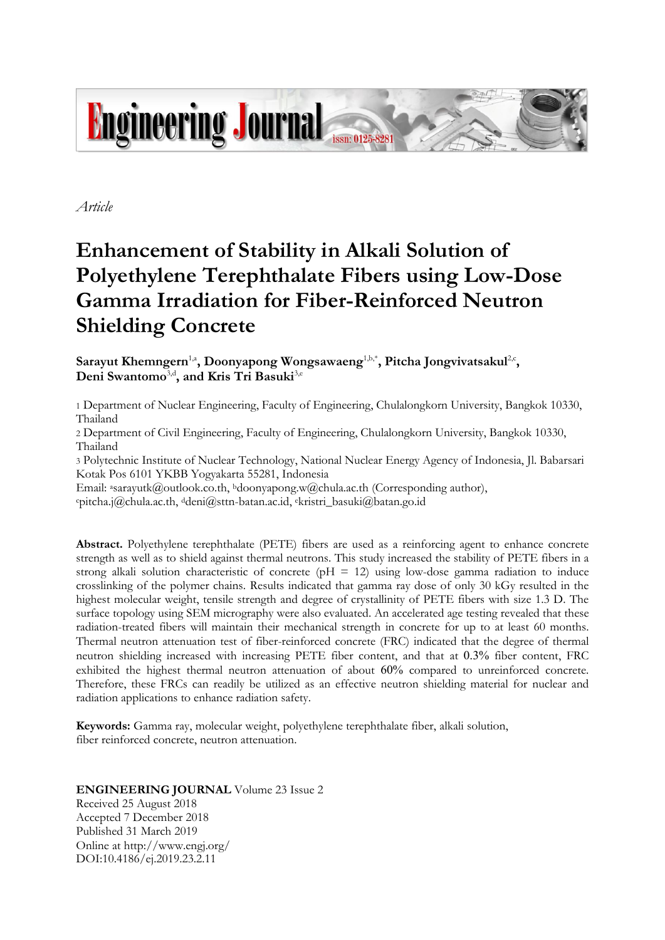

*Article*

# **Enhancement of Stability in Alkali Solution of Polyethylene Terephthalate Fibers using Low-Dose Gamma Irradiation for Fiber-Reinforced Neutron Shielding Concrete**

Sarayut Khemngern<sup>1,a</sup>, Doonyapong Wongsawaeng<sup>1,b,\*</sup>, Pitcha Jongvivatsakul<sup>2,c</sup>, Deni Swantomo<sup>3,d</sup>, and Kris Tri Basuki<sup>3,e</sup>

1 Department of Nuclear Engineering, Faculty of Engineering, Chulalongkorn University, Bangkok 10330, Thailand

2 Department of Civil Engineering, Faculty of Engineering, Chulalongkorn University, Bangkok 10330, Thailand

3 Polytechnic Institute of Nuclear Technology, National Nuclear Energy Agency of Indonesia, Jl. Babarsari Kotak Pos 6101 YKBB Yogyakarta 55281, Indonesia

Email: <sup>a</sup>sarayutk@outlook.co.th, <sup>b</sup>doonyapong.w@chula.ac.th (Corresponding author),

<sup>c</sup>pitcha.j@chula.ac.th, <sup>d</sup>deni@sttn-batan.ac.id, ekristri\_basuki@batan.go.id

**Abstract.** Polyethylene terephthalate (PETE) fibers are used as a reinforcing agent to enhance concrete strength as well as to shield against thermal neutrons. This study increased the stability of PETE fibers in a strong alkali solution characteristic of concrete ( $pH = 12$ ) using low-dose gamma radiation to induce crosslinking of the polymer chains. Results indicated that gamma ray dose of only 30 kGy resulted in the highest molecular weight, tensile strength and degree of crystallinity of PETE fibers with size 1.3 D. The surface topology using SEM micrography were also evaluated. An accelerated age testing revealed that these radiation-treated fibers will maintain their mechanical strength in concrete for up to at least 60 months. Thermal neutron attenuation test of fiber-reinforced concrete (FRC) indicated that the degree of thermal neutron shielding increased with increasing PETE fiber content, and that at 0.3% fiber content, FRC exhibited the highest thermal neutron attenuation of about 60% compared to unreinforced concrete. Therefore, these FRCs can readily be utilized as an effective neutron shielding material for nuclear and radiation applications to enhance radiation safety.

**Keywords:** Gamma ray, molecular weight, polyethylene terephthalate fiber, alkali solution, fiber reinforced concrete, neutron attenuation.

# **ENGINEERING JOURNAL** Volume 23 Issue 2

Received 25 August 2018 Accepted 7 December 2018 Published 31 March 2019 Online at http://www.engj.org/ DOI:10.4186/ej.2019.23.2.11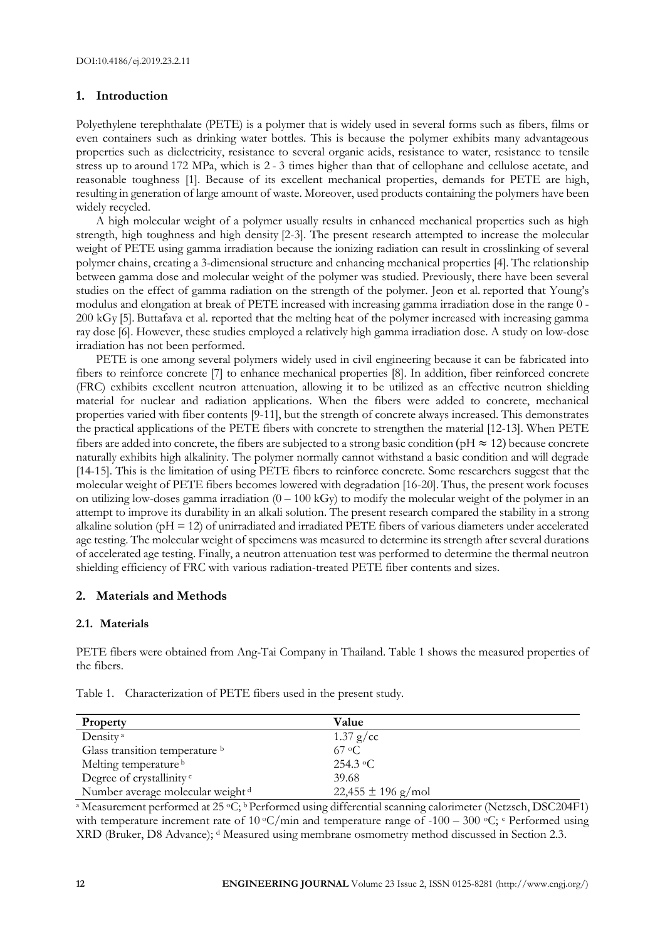# **1. Introduction**

Polyethylene terephthalate (PETE) is a polymer that is widely used in several forms such as fibers, films or even containers such as drinking water bottles. This is because the polymer exhibits many advantageous properties such as dielectricity, resistance to several organic acids, resistance to water, resistance to tensile stress up to around 172 MPa, which is 2 - 3 times higher than that of cellophane and cellulose acetate, and reasonable toughness [1]. Because of its excellent mechanical properties, demands for PETE are high, resulting in generation of large amount of waste. Moreover, used products containing the polymers have been widely recycled.

A high molecular weight of a polymer usually results in enhanced mechanical properties such as high strength, high toughness and high density [2-3]. The present research attempted to increase the molecular weight of PETE using gamma irradiation because the ionizing radiation can result in crosslinking of several polymer chains, creating a 3-dimensional structure and enhancing mechanical properties [4]. The relationship between gamma dose and molecular weight of the polymer was studied. Previously, there have been several studies on the effect of gamma radiation on the strength of the polymer. Jeon et al. reported that Young's modulus and elongation at break of PETE increased with increasing gamma irradiation dose in the range 0 -200 kGy [5]. Buttafava et al. reported that the melting heat of the polymer increased with increasing gamma ray dose [6]. However, these studies employed a relatively high gamma irradiation dose. A study on low-dose irradiation has not been performed.

PETE is one among several polymers widely used in civil engineering because it can be fabricated into fibers to reinforce concrete [7] to enhance mechanical properties [8]. In addition, fiber reinforced concrete (FRC) exhibits excellent neutron attenuation, allowing it to be utilized as an effective neutron shielding material for nuclear and radiation applications. When the fibers were added to concrete, mechanical properties varied with fiber contents [9-11], but the strength of concrete always increased. This demonstrates the practical applications of the PETE fibers with concrete to strengthen the material [12-13]. When PETE fibers are added into concrete, the fibers are subjected to a strong basic condition (pH  $\approx$  12) because concrete naturally exhibits high alkalinity. The polymer normally cannot withstand a basic condition and will degrade [14-15]. This is the limitation of using PETE fibers to reinforce concrete. Some researchers suggest that the molecular weight of PETE fibers becomes lowered with degradation [16-20]. Thus, the present work focuses on utilizing low-doses gamma irradiation  $(0 - 100 \text{ kGy})$  to modify the molecular weight of the polymer in an attempt to improve its durability in an alkali solution. The present research compared the stability in a strong alkaline solution (pH = 12) of unirradiated and irradiated PETE fibers of various diameters under accelerated age testing. The molecular weight of specimens was measured to determine its strength after several durations of accelerated age testing. Finally, a neutron attenuation test was performed to determine the thermal neutron shielding efficiency of FRC with various radiation-treated PETE fiber contents and sizes.

# **2. Materials and Methods**

#### **2.1. Materials**

PETE fibers were obtained from Ang-Tai Company in Thailand. Table 1 shows the measured properties of the fibers.

| Property                                     | Value                  |
|----------------------------------------------|------------------------|
| Density <sup>a</sup>                         | $1.37$ g/cc            |
| Glass transition temperature b               | $67 \text{ °C}$        |
| Melting temperature <sup>b</sup>             | 254.3 $\circ$ C        |
| Degree of crystallinity <sup>c</sup>         | 39.68                  |
| Number average molecular weight <sup>d</sup> | $22,455 \pm 196$ g/mol |

Table 1. Characterization of PETE fibers used in the present study.

<sup>a</sup> Measurement performed at 25 <sup>o</sup>C; b Performed using differential scanning calorimeter (Netzsch, DSC204F1) with temperature increment rate of 10 °C/min and temperature range of -100 – 300 °C; <sup>c</sup> Performed using XRD (Bruker, D8 Advance); <sup>d</sup> Measured using membrane osmometry method discussed in Section 2.3.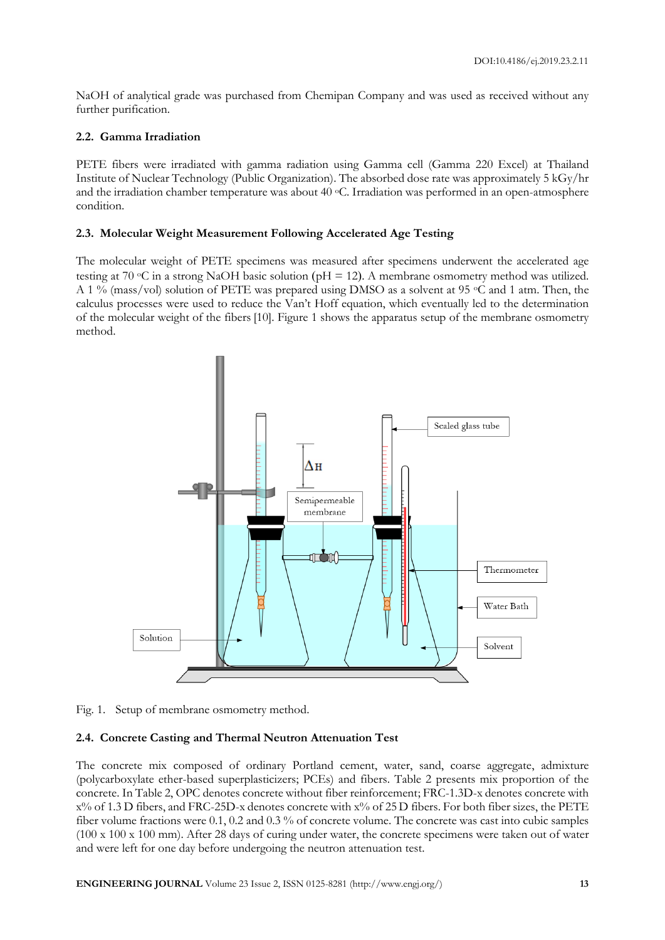NaOH of analytical grade was purchased from Chemipan Company and was used as received without any further purification.

## **2.2. Gamma Irradiation**

PETE fibers were irradiated with gamma radiation using Gamma cell (Gamma 220 Excel) at Thailand Institute of Nuclear Technology (Public Organization). The absorbed dose rate was approximately 5 kGy/hr and the irradiation chamber temperature was about 40 <sup>o</sup>C. Irradiation was performed in an open-atmosphere condition.

## **2.3. Molecular Weight Measurement Following Accelerated Age Testing**

The molecular weight of PETE specimens was measured after specimens underwent the accelerated age testing at 70 °C in a strong NaOH basic solution ( $pH = 12$ ). A membrane osmometry method was utilized. A 1 % (mass/vol) solution of PETE was prepared using DMSO as a solvent at 95 °C and 1 atm. Then, the calculus processes were used to reduce the Van't Hoff equation, which eventually led to the determination of the molecular weight of the fibers [10]. Figure 1 shows the apparatus setup of the membrane osmometry method.



Fig. 1. Setup of membrane osmometry method.

#### **2.4. Concrete Casting and Thermal Neutron Attenuation Test**

The concrete mix composed of ordinary Portland cement, water, sand, coarse aggregate, admixture (polycarboxylate ether-based superplasticizers; PCEs) and fibers. Table 2 presents mix proportion of the concrete. In Table 2, OPC denotes concrete without fiber reinforcement; FRC-1.3D-x denotes concrete with x% of 1.3 D fibers, and FRC-25D-x denotes concrete with x% of 25D fibers. For both fiber sizes, the PETE fiber volume fractions were 0.1, 0.2 and 0.3 % of concrete volume. The concrete was cast into cubic samples (100 x 100 x 100 mm). After 28 days of curing under water, the concrete specimens were taken out of water and were left for one day before undergoing the neutron attenuation test.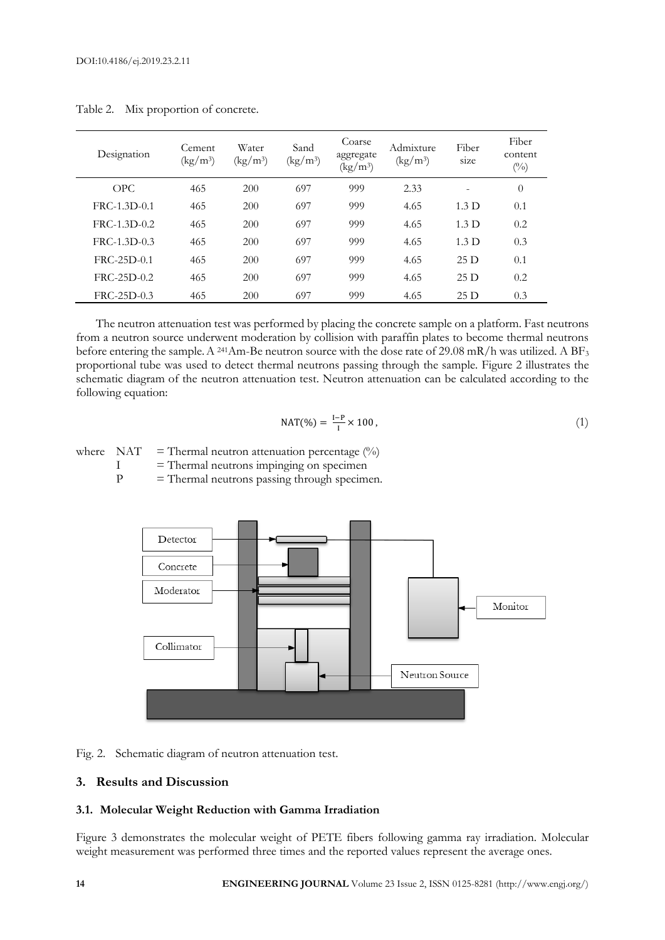| Designation    | Cement<br>$\frac{\text{kg}}{\text{m}^3}$ | Water<br>$\left(\frac{\text{kg}}{\text{m}^3}\right)$ | Sand<br>$\left(\frac{\text{kg}}{\text{m}^3}\right)$ | Coarse<br>aggregate<br>$\left(\frac{\text{kg}}{\text{m}^3}\right)$ | Admixture<br>$\left(\frac{\text{kg}}{\text{m}^3}\right)$ | Fiber<br>size    | Fiber<br>content<br>$(\%)$ |
|----------------|------------------------------------------|------------------------------------------------------|-----------------------------------------------------|--------------------------------------------------------------------|----------------------------------------------------------|------------------|----------------------------|
| OPC            | 465                                      | 200                                                  | 697                                                 | 999                                                                | 2.33                                                     |                  | $\theta$                   |
| $FRC-1.3D-0.1$ | 465                                      | 200                                                  | 697                                                 | 999                                                                | 4.65                                                     | 1.3 <sub>D</sub> | 0.1                        |
| FRC-1.3D-0.2   | 465                                      | 200                                                  | 697                                                 | 999                                                                | 4.65                                                     | 1.3 <sub>D</sub> | 0.2                        |
| $FRC-1.3D-0.3$ | 465                                      | 200                                                  | 697                                                 | 999                                                                | 4.65                                                     | 1.3 <sub>D</sub> | 0.3                        |
| $FRC-25D-0.1$  | 465                                      | 200                                                  | 697                                                 | 999                                                                | 4.65                                                     | 25D              | 0.1                        |
| $FRC-25D-0.2$  | 465                                      | 200                                                  | 697                                                 | 999                                                                | 4.65                                                     | 25D              | 0.2                        |
| $FRC-25D-0.3$  | 465                                      | 200                                                  | 697                                                 | 999                                                                | 4.65                                                     | 25D              | 0.3                        |

Table 2. Mix proportion of concrete.

The neutron attenuation test was performed by placing the concrete sample on a platform. Fast neutrons from a neutron source underwent moderation by collision with paraffin plates to become thermal neutrons before entering the sample. A <sup>241</sup>Am-Be neutron source with the dose rate of 29.08 mR/h was utilized. A BF<sub>3</sub> proportional tube was used to detect thermal neutrons passing through the sample. Figure 2 illustrates the schematic diagram of the neutron attenuation test. Neutron attenuation can be calculated according to the following equation:

$$
NAT(\%) = \frac{I - P}{I} \times 100, \tag{1}
$$

where  $NAT = Thermal neutron attenuation percentage (%)$ 

 $I =$ Thermal neutrons impinging on specimen<br> $P =$ Thermal neutrons passing through specim

 $=$  Thermal neutrons passing through specimen.



Fig. 2. Schematic diagram of neutron attenuation test.

## **3. Results and Discussion**

#### **3.1. Molecular Weight Reduction with Gamma Irradiation**

Figure 3 demonstrates the molecular weight of PETE fibers following gamma ray irradiation. Molecular weight measurement was performed three times and the reported values represent the average ones.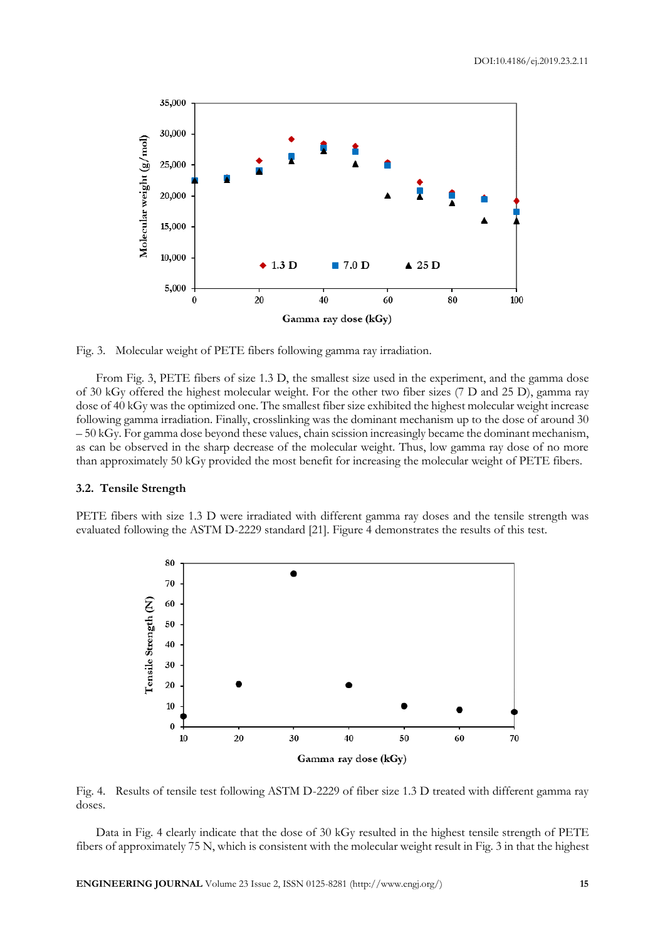

Fig. 3. Molecular weight of PETE fibers following gamma ray irradiation.

From Fig. 3, PETE fibers of size 1.3 D, the smallest size used in the experiment, and the gamma dose of 30 kGy offered the highest molecular weight. For the other two fiber sizes (7 D and 25 D), gamma ray dose of 40 kGy was the optimized one. The smallest fiber size exhibited the highest molecular weight increase following gamma irradiation. Finally, crosslinking was the dominant mechanism up to the dose of around 30 – 50 kGy. For gamma dose beyond these values, chain scission increasingly became the dominant mechanism, as can be observed in the sharp decrease of the molecular weight. Thus, low gamma ray dose of no more than approximately 50 kGy provided the most benefit for increasing the molecular weight of PETE fibers.

#### **3.2. Tensile Strength**

PETE fibers with size 1.3 D were irradiated with different gamma ray doses and the tensile strength was evaluated following the ASTM D-2229 standard [21]. Figure 4 demonstrates the results of this test.



Fig. 4. Results of tensile test following ASTM D-2229 of fiber size 1.3 D treated with different gamma ray doses.

Data in Fig. 4 clearly indicate that the dose of 30 kGy resulted in the highest tensile strength of PETE fibers of approximately 75 N, which is consistent with the molecular weight result in Fig. 3 in that the highest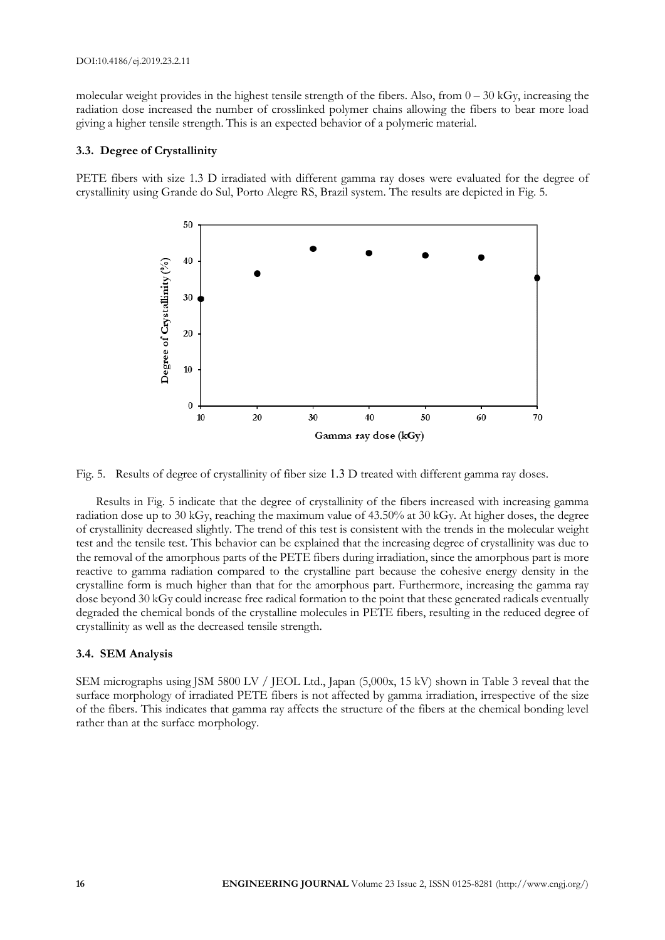molecular weight provides in the highest tensile strength of the fibers. Also, from  $0 - 30$  kGy, increasing the radiation dose increased the number of crosslinked polymer chains allowing the fibers to bear more load giving a higher tensile strength. This is an expected behavior of a polymeric material.

#### **3.3. Degree of Crystallinity**

PETE fibers with size 1.3 D irradiated with different gamma ray doses were evaluated for the degree of crystallinity using Grande do Sul, Porto Alegre RS, Brazil system. The results are depicted in Fig. 5.



Fig. 5. Results of degree of crystallinity of fiber size 1.3 D treated with different gamma ray doses.

Results in Fig. 5 indicate that the degree of crystallinity of the fibers increased with increasing gamma radiation dose up to 30 kGy, reaching the maximum value of 43.50% at 30 kGy. At higher doses, the degree of crystallinity decreased slightly. The trend of this test is consistent with the trends in the molecular weight test and the tensile test. This behavior can be explained that the increasing degree of crystallinity was due to the removal of the amorphous parts of the PETE fibers during irradiation, since the amorphous part is more reactive to gamma radiation compared to the crystalline part because the cohesive energy density in the crystalline form is much higher than that for the amorphous part. Furthermore, increasing the gamma ray dose beyond 30 kGy could increase free radical formation to the point that these generated radicals eventually degraded the chemical bonds of the crystalline molecules in PETE fibers, resulting in the reduced degree of crystallinity as well as the decreased tensile strength.

#### **3.4. SEM Analysis**

SEM micrographs using JSM 5800 LV / JEOL Ltd., Japan (5,000x, 15 kV) shown in Table 3 reveal that the surface morphology of irradiated PETE fibers is not affected by gamma irradiation, irrespective of the size of the fibers. This indicates that gamma ray affects the structure of the fibers at the chemical bonding level rather than at the surface morphology.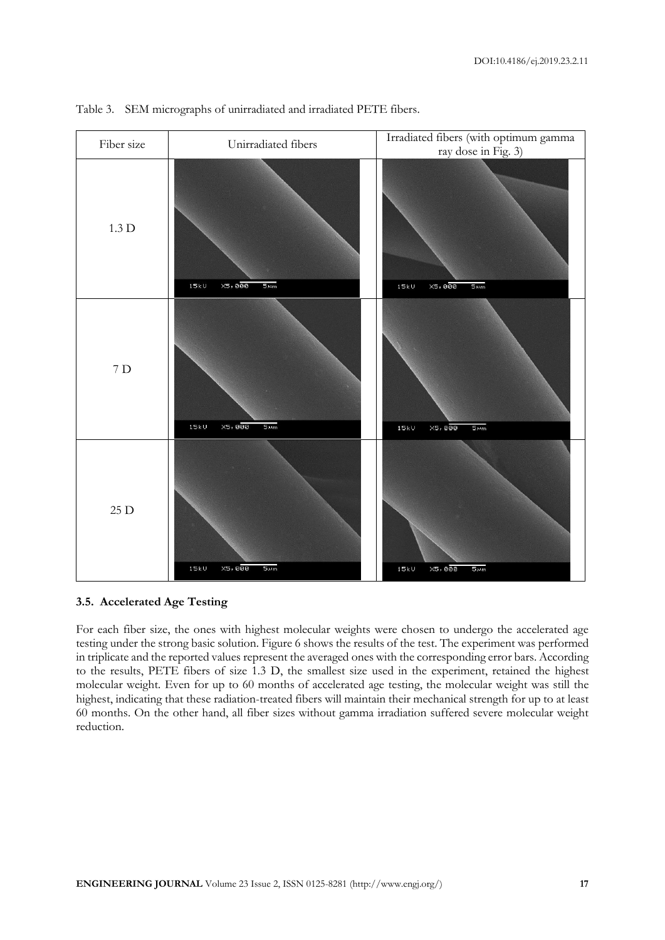

Table 3. SEM micrographs of unirradiated and irradiated PETE fibers.

#### **3.5. Accelerated Age Testing**

For each fiber size, the ones with highest molecular weights were chosen to undergo the accelerated age testing under the strong basic solution. Figure 6 shows the results of the test. The experiment was performed in triplicate and the reported values represent the averaged ones with the corresponding error bars. According to the results, PETE fibers of size 1.3 D, the smallest size used in the experiment, retained the highest molecular weight. Even for up to 60 months of accelerated age testing, the molecular weight was still the highest, indicating that these radiation-treated fibers will maintain their mechanical strength for up to at least 60 months. On the other hand, all fiber sizes without gamma irradiation suffered severe molecular weight reduction.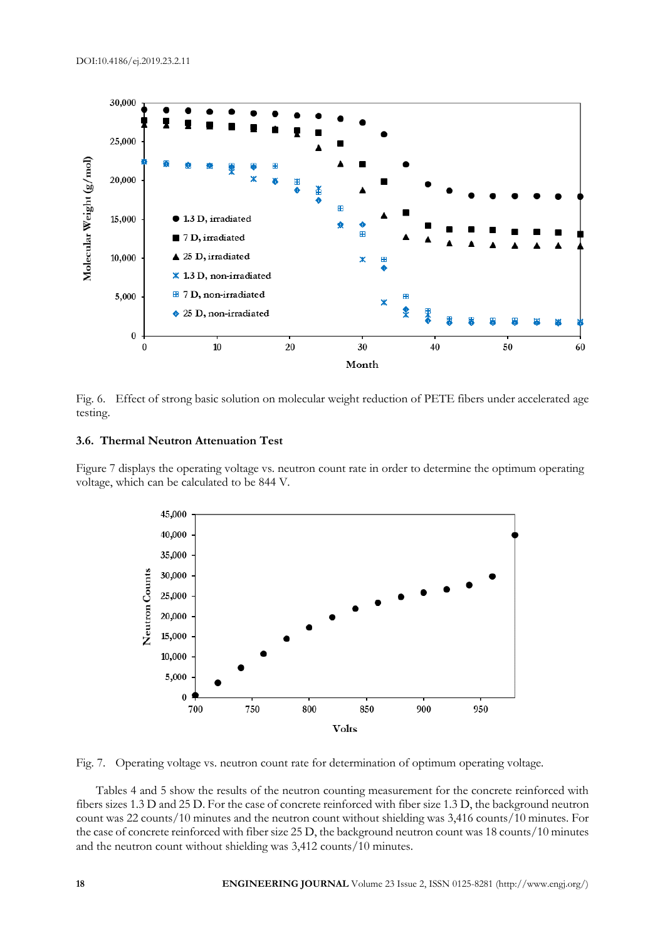



## **3.6. Thermal Neutron Attenuation Test**

Figure 7 displays the operating voltage vs. neutron count rate in order to determine the optimum operating voltage, which can be calculated to be 844 V.



Fig. 7. Operating voltage vs. neutron count rate for determination of optimum operating voltage.

Tables 4 and 5 show the results of the neutron counting measurement for the concrete reinforced with fibers sizes 1.3 D and 25 D. For the case of concrete reinforced with fiber size 1.3 D, the background neutron count was 22 counts/10 minutes and the neutron count without shielding was 3,416 counts/10 minutes. For the case of concrete reinforced with fiber size 25 D, the background neutron count was 18 counts/10 minutes and the neutron count without shielding was 3,412 counts/10 minutes.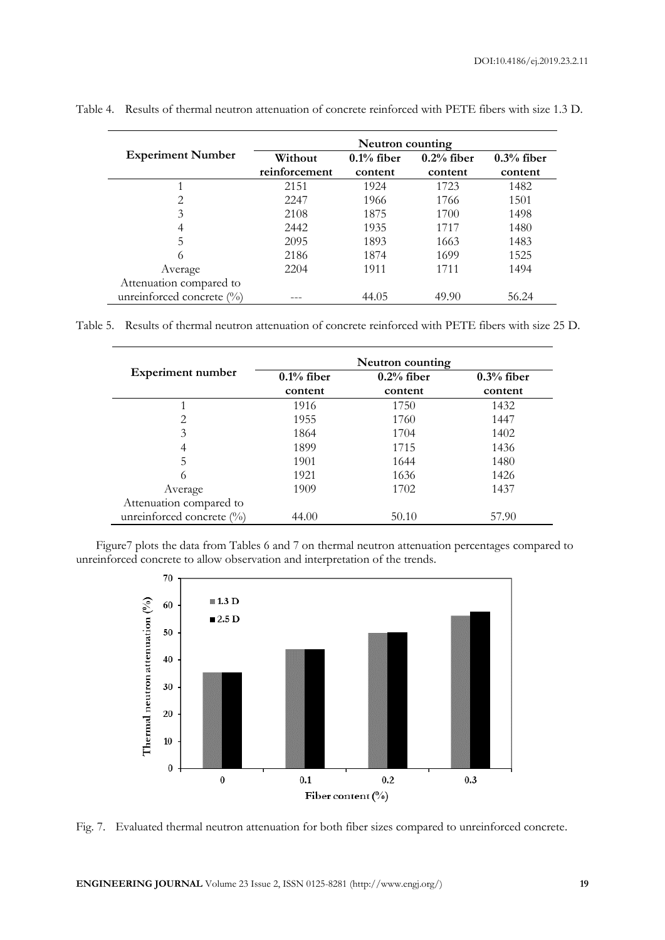|                           | Neutron counting |               |               |              |  |
|---------------------------|------------------|---------------|---------------|--------------|--|
| <b>Experiment Number</b>  | Without          | $0.1\%$ fiber | $0.2\%$ fiber | $0.3%$ fiber |  |
|                           | reinforcement    | content       | content       | content      |  |
|                           | 2151             | 1924          | 1723          | 1482         |  |
| $\overline{2}$            | 2247             | 1966          | 1766          | 1501         |  |
| 3                         | 2108             | 1875          | 1700          | 1498         |  |
| 4                         | 2442             | 1935          | 1717          | 1480         |  |
| 5                         | 2095             | 1893          | 1663          | 1483         |  |
| 6                         | 2186             | 1874          | 1699          | 1525         |  |
| Average                   | 2204             | 1911          | 1711          | 1494         |  |
| Attenuation compared to   |                  |               |               |              |  |
| unreinforced concrete (%) |                  | 44.05         | 49.90         | 56.24        |  |

Table 4. Results of thermal neutron attenuation of concrete reinforced with PETE fibers with size 1.3 D.

Table 5. Results of thermal neutron attenuation of concrete reinforced with PETE fibers with size 25 D.

|                           | Neutron counting |               |               |  |  |  |
|---------------------------|------------------|---------------|---------------|--|--|--|
| <b>Experiment number</b>  | $0.1\%$ fiber    | $0.2\%$ fiber | $0.3\%$ fiber |  |  |  |
|                           | content          | content       | content       |  |  |  |
|                           | 1916             | 1750          | 1432          |  |  |  |
| 2                         | 1955             | 1760          | 1447          |  |  |  |
| 3                         | 1864             | 1704          | 1402          |  |  |  |
| 4                         | 1899             | 1715          | 1436          |  |  |  |
| 5                         | 1901             | 1644          | 1480          |  |  |  |
| 6                         | 1921             | 1636          | 1426          |  |  |  |
| Average                   | 1909             | 1702          | 1437          |  |  |  |
| Attenuation compared to   |                  |               |               |  |  |  |
| unreinforced concrete (%) | 44.00            | 50.10         | 57.90         |  |  |  |

Figure7 plots the data from Tables 6 and 7 on thermal neutron attenuation percentages compared to unreinforced concrete to allow observation and interpretation of the trends.



Fig. 7. Evaluated thermal neutron attenuation for both fiber sizes compared to unreinforced concrete.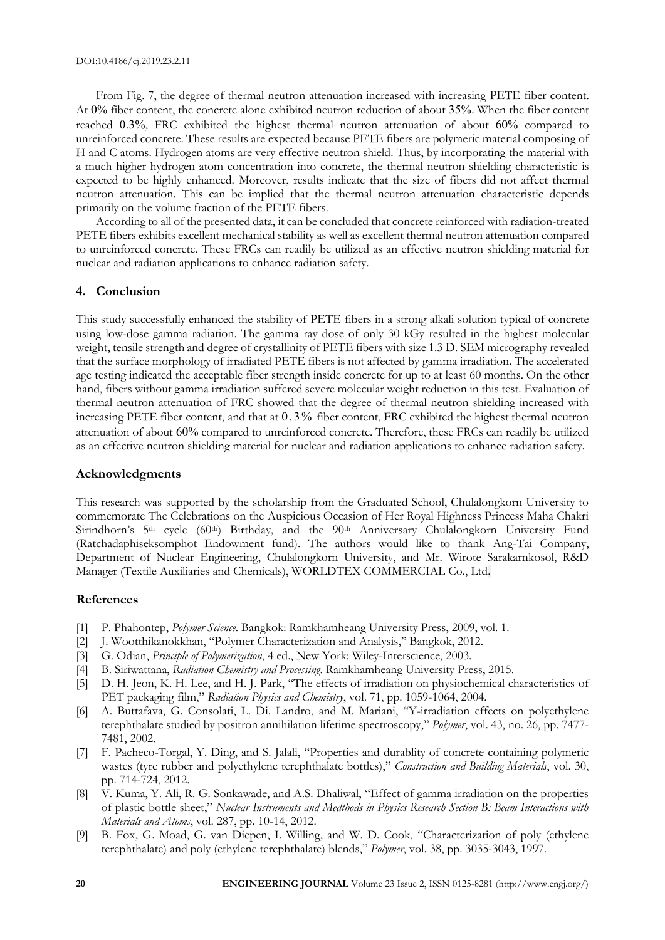From Fig. 7, the degree of thermal neutron attenuation increased with increasing PETE fiber content. At 0% fiber content, the concrete alone exhibited neutron reduction of about 35%. When the fiber content reached 0.3%, FRC exhibited the highest thermal neutron attenuation of about 60% compared to unreinforced concrete. These results are expected because PETE fibers are polymeric material composing of H and C atoms. Hydrogen atoms are very effective neutron shield. Thus, by incorporating the material with a much higher hydrogen atom concentration into concrete, the thermal neutron shielding characteristic is expected to be highly enhanced. Moreover, results indicate that the size of fibers did not affect thermal neutron attenuation. This can be implied that the thermal neutron attenuation characteristic depends primarily on the volume fraction of the PETE fibers.

According to all of the presented data, it can be concluded that concrete reinforced with radiation-treated PETE fibers exhibits excellent mechanical stability as well as excellent thermal neutron attenuation compared to unreinforced concrete. These FRCs can readily be utilized as an effective neutron shielding material for nuclear and radiation applications to enhance radiation safety.

## **4. Conclusion**

This study successfully enhanced the stability of PETE fibers in a strong alkali solution typical of concrete using low-dose gamma radiation. The gamma ray dose of only 30 kGy resulted in the highest molecular weight, tensile strength and degree of crystallinity of PETE fibers with size 1.3 D. SEM micrography revealed that the surface morphology of irradiated PETE fibers is not affected by gamma irradiation. The accelerated age testing indicated the acceptable fiber strength inside concrete for up to at least 60 months. On the other hand, fibers without gamma irradiation suffered severe molecular weight reduction in this test. Evaluation of thermal neutron attenuation of FRC showed that the degree of thermal neutron shielding increased with increasing PETE fiber content, and that at 0.3% fiber content, FRC exhibited the highest thermal neutron attenuation of about 60% compared to unreinforced concrete. Therefore, these FRCs can readily be utilized as an effective neutron shielding material for nuclear and radiation applications to enhance radiation safety.

#### **Acknowledgments**

This research was supported by the scholarship from the Graduated School, Chulalongkorn University to commemorate The Celebrations on the Auspicious Occasion of Her Royal Highness Princess Maha Chakri Sirindhorn's 5<sup>th</sup> cycle (60<sup>th</sup>) Birthday, and the 90<sup>th</sup> Anniversary Chulalongkorn University Fund (Ratchadaphiseksomphot Endowment fund). The authors would like to thank Ang-Tai Company, Department of Nuclear Engineering, Chulalongkorn University, and Mr. Wirote Sarakarnkosol, R&D Manager (Textile Auxiliaries and Chemicals), WORLDTEX COMMERCIAL Co., Ltd.

#### **References**

- [1] P. Phahontep, *Polymer Science*. Bangkok: Ramkhamheang University Press, 2009, vol. 1.
- [2] J. Wootthikanokkhan, "Polymer Characterization and Analysis," Bangkok, 2012.
- [3] G. Odian, *Principle of Polymerization*, 4 ed., New York: Wiley-Interscience, 2003.
- [4] B. Siriwattana, *Radiation Chemistry and Processing*. Ramkhamheang University Press, 2015.
- [5] D. H. Jeon, K. H. Lee, and H. J. Park, "The effects of irradiation on physiochemical characteristics of PET packaging film," *Radiation Physics and Chemistry*, vol. 71, pp. 1059-1064, 2004.
- [6] A. Buttafava, G. Consolati, L. Di. Landro, and M. Mariani, "Y-irradiation effects on polyethylene terephthalate studied by positron annihilation lifetime spectroscopy," *Polymer*, vol. 43, no. 26, pp. 7477- 7481, 2002.
- [7] F. Pacheco-Torgal, Y. Ding, and S. Jalali, "Properties and durablity of concrete containing polymeric wastes (tyre rubber and polyethylene terephthalate bottles)," *Construction and Building Materials*, vol. 30, pp. 714-724, 2012.
- [8] V. Kuma, Y. Ali, R. G. Sonkawade, and A.S. Dhaliwal, "Effect of gamma irradiation on the properties of plastic bottle sheet," *Nuclear Instruments and Medthods in Physics Research Section B: Beam Interactions with Materials and Atoms*, vol. 287, pp. 10-14, 2012.
- [9] B. Fox, G. Moad, G. van Diepen, I. Willing, and W. D. Cook, "Characterization of poly (ethylene terephthalate) and poly (ethylene terephthalate) blends," *Polymer*, vol. 38, pp. 3035-3043, 1997.